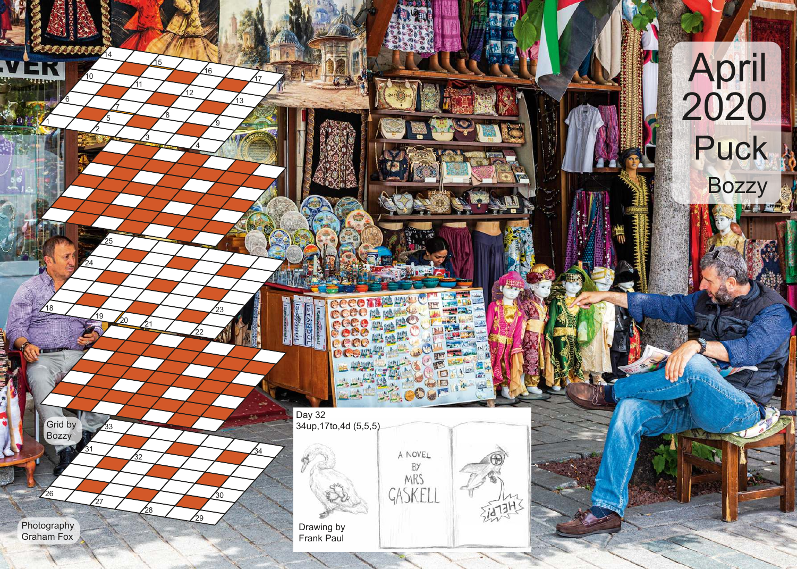